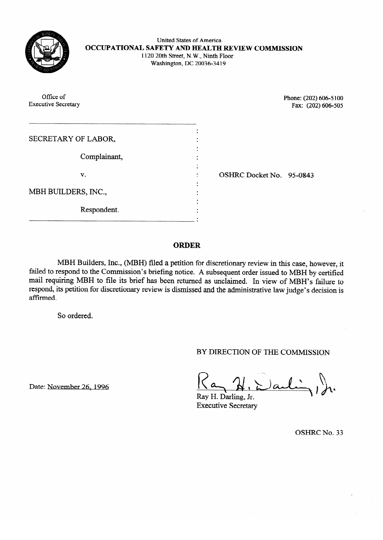

United States of America **OCCUPATIONAL SAFETY AND HEALTH REVIEW COMMISSION**  1120 20th Street, N.W., Ninth Floor Washington, DC 20036-34 19

Office of Phone: (202) 606-5100<br>Executive Secretary Fax: (202) 606-505  $\frac{1}{4}$ ax: (202) 606-505 SECRETARY OF LABOR. SECRETARY OF LABOR, Complainant, Complainant, OSHRC Docket No. 95-0843 v. . . . .  $\ddotsc$ , including the set of  $\ddotsc$ . . .  $\overbrace{\phantom{m}}$  . .

**ORDER** 

failed to respond to the Commission's briefing notice. A subsequent order issued to MBH by certified mail requiring MBH to file its brief has been returned as unclaimed. In view of MBH's failure to respond, its petition for discretionary review is dismissed and the administrative law judge's decision is affirmed. responds, its periodic for discretion for discretionary review is discretionary review is discretionary review is discretion in the administrative law judget's decision is discretion in the administrative law judget's disc

BY DIRECTION OF THE COMMISSION

Date: November 26, 1996<br>Ray H. Darling, Jr.<br>**Executive Secretary** 

**OSHRC No. 33**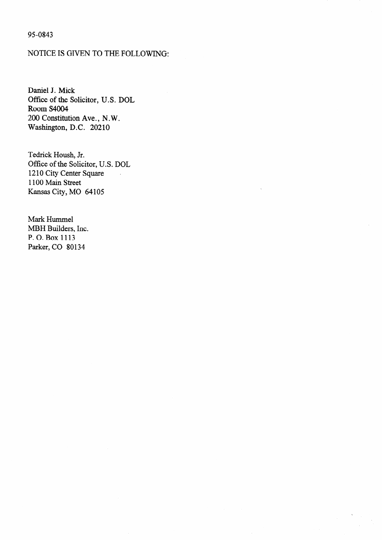## 95-0843

# NOTICE IS GIVEN TO THE FOLLOWING:

Daniel J. Mick Office of the Solicitor, U.S. DOL Room S4004 200 Constitution Ave., N.W. Washington, D.C. 20210

Tedrick Housh, Jr. Office of the Solicitor, U.S. DOL 1210 City Center Square 1100 Main Street Kansas City, MO 64105

Mark Hummel MBH Builders, Inc. P. 0. Box 1113 Parker, CO 80134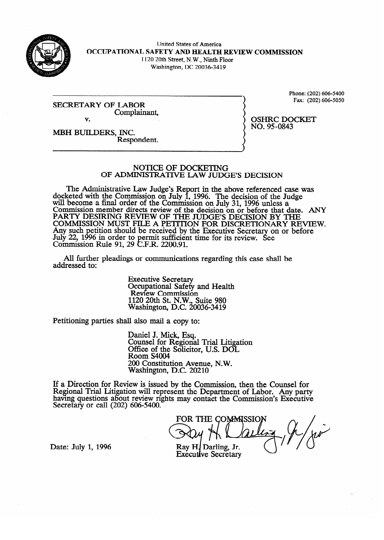

United States of America **OCCUPATIONAL SAFETY AND EIEALTEt REVIEW COMMISSION**  1120 20th Street, N.W., Ninth Floor

Washington, DC 20036-34 19

**SECRETARY OF LABOR** Complainant. Complainant, v.

Phone: (202) 606-5400<br>Fax: (202) 606-5050  $F = 100(120)$ 

OSHRC DOCKET<br>NO. 95-0843

MBH BUILDERS, INC. Respondent. Respondent.

#### **NOTICE OF DOCKETING** OF ADMINISTRATIVE LAW JUDGE'S DECISION

The Administrative Law Judge's Report in the above referenced case was docketed with the Commission on July 1, 1996. The decision of the Judge will become a final order of the Commission on July 31, 1996 unless a will become a final order of the Commission on July 31, 1996 unless a COMMISSION MEMBER AIRCUS FEVIEW OF the AECISION ON OF before that a<br>DA DTV DESIDING DEVIEW OF THE HIDGE'S DECISION BY T CANT LIESINING KEVIEW OF THE JUDGE'S DECISION BY THE TANGER DECISION ON A BEFORE COMMISSION MOST FILE A FETTITON FOR DISCRETIONART RE Any such petition should be received by the Executive Secretary on or before<br>July 22, 1006 in order to permit sufficient time for its review. See July 22, 1990 in order to permit sumclent time for its review. See<br>Commission Rule 01 20 C E R 2200 01 Commussion For the order to permit sufficient time for its review.<br> $\mathbf{F} \mathbf{R}$  D  $\mathbf{R} \mathbf{R}$  D  $\mathbf{R} \mathbf{R}$  D  $\mathbf{R} \mathbf{R}$ If NUIC 91, 29 C.F.N. 2200.91.

All further pleadings or communications regarding this case shall be  $A$  further pleading or communications regarding the communications regarding the case shah behalf behalf behalf behalf behalf behalf behalf behalf behalf behalf behalf behalf behalf behalf behalf behalf behalf behalf beh

> **Executive Secretary** Occupational Safety and Health<br>Review Commission  $1120$  20th St. N.W., Suite 980 Vashington, D.C. 20  $1/2$

Petitioning parties shall also mail a copy to:

Paniel J. Mick, Esq. Office of the Solicito  $Room S4004$ 200 Constitution Avenue, N.W. Washington, D.C. 20210

 $200$  constitution  $\overline{10}$  and  $\overline{20}$  $\text{few}$  is issued by the Com having questions about review rights may contact the Commission's Executive Secretary or call (202) 606-5400.

FOR THE COMMISSIO

Date: July 1, 1996

Ray H. Darling, Jr. **Executive Secretary**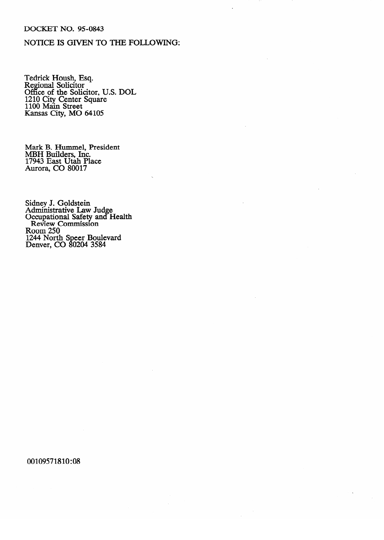### DOCKET NO. 95-0843

# NOTICE IS GIVEN TO THE FOLLOWING:

Tedrick House, Esq.<br>Regional Solicitor Regional Solicitor<br>Office of the Soli Office of the Solicitor, O.S. DOL 1210 City Center Square 1100 main Street<br>Kansas City MO  $k$ ansas City, MO 64105

MBH Builders, Inc. 17943 East Utah Pla Aurora, CO 80017

Administrative Lay Occupational Safety and H Review Commission<br>Beam 250  $\frac{100 \text{m}}{244 \text{ N}}$ com Do 1244 NOTU Deliver, CO  $\frac{1}{2}$  ovzu $\frac{1}{2}$   $\frac{1}{2}$ 

00109571810:08